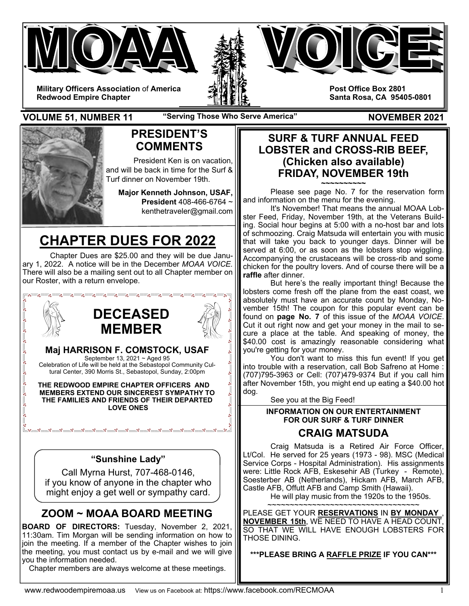





**Military Officers Association** of **America Redwood Empire Chapter** 

**Post Office Box 2801 Santa Rosa, CA 95405-0801** 

**VOLUME 51, NUMBER 11** "Serving Those Who Serve America" MOVEMBER 2021



## **PRESIDENT'S COMMENTS**

President Ken is on vacation, and will be back in time for the Surf & Turf dinner on November 19th.

**Major Kenneth Johnson, USAF, President** 408-466-6764 ~ kenthetraveler@gmail.com

# **CHAPTER DUES FOR 2022**

Chapter Dues are \$25.00 and they will be due January 1, 2022. A notice will be in the December *MOAA VOICE.* There will also be a mailing sent out to all Chapter member on our Roster, with a return envelope.



**BOARD OF DIRECTORS:** Tuesday, November 2, 2021, 11:30am. Tim Morgan will be sending information on how to join the meeting. If a member of the Chapter wishes to join the meeting, you must contact us by e-mail and we will give you the information needed.

Chapter members are always welcome at these meetings.

### **SURF & TURF ANNUAL FEED LOBSTER and CROSS-RIB BEEF, (Chicken also available) FRIDAY, NOVEMBER 19th ~~~~~~~~~~**

 Please see page No. 7 for the reservation form and information on the menu for the evening.

 It's November! That means the annual MOAA Lobster Feed, Friday, November 19th, at the Veterans Building. Social hour begins at 5:00 with a no-host bar and lots of schmoozing. Craig Matsuda will entertain you with music that will take you back to younger days. Dinner will be served at 6:00, or as soon as the lobsters stop wiggling. Accompanying the crustaceans will be cross-rib and some chicken for the poultry lovers. And of course there will be a **raffle** after dinner.

 But here's the really important thing! Because the lobsters come fresh off the plane from the east coast, we absolutely must have an accurate count by Monday, November 15th! The coupon for this popular event can be found on **page No. 7** of this issue of the *MOAA VOICE*. Cut it out right now and get your money in the mail to secure a place at the table. And speaking of money, the \$40.00 cost is amazingly reasonable considering what you're getting for your money.

 You don't want to miss this fun event! If you get into trouble with a reservation, call Bob Safreno at Home : (707)795-3963 or Cell: (707)479-9374 But if you call him after November 15th, you might end up eating a \$40.00 hot dog.

See you at the Big Feed!

### **INFORMATION ON OUR ENTERTAINMENT FOR OUR SURF & TURF DINNER**

### **CRAIG MATSUDA**

 Craig Matsuda is a Retired Air Force Officer, Lt/Col. He served for 25 years (1973 - 98). MSC (Medical Service Corps - Hospital Administration). His assignments were: Little Rock AFB, Eskesehir AB (Turkey - Remote), Soesterber AB (Netherlands), Hickam AFB, March AFB, Castle AFB, Offutt AFB and Camp Smith (Hawaii).

He will play music from the 1920s to the 1950s.

~~~~~~~~~~~~~~~~~~~~~~~~~~~~~~~~~~~ PLEASE GET YOUR **RESERVATIONS** IN **BY MONDAY** , **NOVEMBER 15th**, WE NEED TO HAVE A HEAD COUNT, SO THAT WE WILL HAVE ENOUGH LOBSTERS FOR THOSE DINING.

**\*\*\*PLEASE BRING A RAFFLE PRIZE IF YOU CAN\*\*\***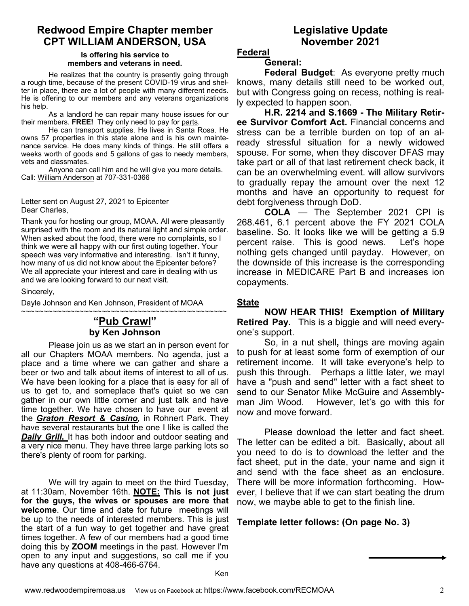### **Redwood Empire Chapter member CPT WILLIAM ANDERSON, USA**

#### **Is offering his service to members and veterans in need.**

He realizes that the country is presently going through a rough time, because of the present COVID-19 virus and shelter in place, there are a lot of people with many different needs. He is offering to our members and any veterans organizations his help.

 As a landlord he can repair many house issues for our their members. **FREE!** They only need to pay for parts.

 He can transport supplies. He lives in Santa Rosa. He owns 57 properties in this state alone and is his own maintenance service. He does many kinds of things. He still offers a weeks worth of goods and 5 gallons of gas to needy members, vets and classmates.

 Anyone can call him and he will give you more details. Call: William Anderson at 707-331-0366

Letter sent on August 27, 2021 to Epicenter Dear Charles,

Thank you for hosting our group, MOAA. All were pleasantly surprised with the room and its natural light and simple order. When asked about the food, there were no complaints, so I think we were all happy with our first outing together. Your speech was very informative and interesting. Isn't it funny, how many of us did not know about the Epicenter before? We all appreciate your interest and care in dealing with us and we are looking forward to our next visit.

Sincerely,

Dayle Johnson and Ken Johnson, President of MOAA

#### ~~~~~~~~~~~~~~~~~~~~~~~~~~~~~~~~~~~~~~~~~~~~~~ **"Pub Crawl" by Ken Johnson**

 Please join us as we start an in person event for all our Chapters MOAA members. No agenda, just a place and a time where we can gather and share a beer or two and talk about items of interest to all of us. We have been looking for a place that is easy for all of us to get to, and someplace that's quiet so we can gather in our own little corner and just talk and have time together. We have chosen to have our event at the *Graton Resort & Casino,* in Rohnert Park. They have several restaurants but the one I like is called the **Daily Grill.** It has both indoor and outdoor seating and a very nice menu. They have three large parking lots so there's plenty of room for parking.

 We will try again to meet on the third Tuesday, at 11:30am, November 16th. **NOTE: This is not just for the guys, the wives or spouses are more that welcome**. Our time and date for future meetings will be up to the needs of interested members. This is just the start of a fun way to get together and have great times together. A few of our members had a good time doing this by **ZOOM** meetings in the past. However I'm open to any input and suggestions, so call me if you have any questions at 408-466-6764.

### **Legislative Update November 2021**

### **Federal**

### **General:**

**Federal Budget**: As everyone pretty much knows, many details still need to be worked out, but with Congress going on recess, nothing is really expected to happen soon.

**H.R. 2214 and S.1669 - The Military Retiree Survivor Comfort Act.** Financial concerns and stress can be a terrible burden on top of an already stressful situation for a newly widowed spouse. For some, when they discover DFAS may take part or all of that last retirement check back, it can be an overwhelming event. will allow survivors to gradually repay the amount over the next 12 months and have an opportunity to request for debt forgiveness through DoD.

 **COLA** — The September 2021 CPI is 268.461, 6.1 percent above the FY 2021 COLA baseline. So. It looks like we will be getting a 5.9 percent raise. This is good news. Let's hope nothing gets changed until payday. However, on the downside of this increase is the corresponding increase in MEDICARE Part B and increases ion copayments.

#### **State**

 **NOW HEAR THIS! Exemption of Military Retired Pay.** This is a biggie and will need everyone's support.

So, in a nut shell**,** things are moving again to push for at least some form of exemption of our retirement income. It will take everyone's help to push this through. Perhaps a little later, we mayl have a "push and send" letter with a fact sheet to send to our Senator Mike McGuire and Assemblyman Jim Wood. However, let's go with this for now and move forward.

 Please download the letter and fact sheet. The letter can be edited a bit. Basically, about all you need to do is to download the letter and the fact sheet, put in the date, your name and sign it and send with the face sheet as an enclosure. There will be more information forthcoming. However, I believe that if we can start beating the drum now, we maybe able to get to the finish line.

### **Template letter follows: (On page No. 3)**

Ken

֦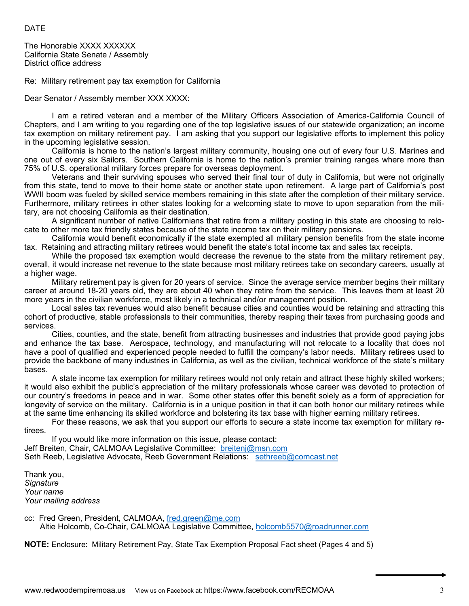#### DATE

The Honorable XXXX XXXXXX California State Senate / Assembly District office address

Re: Military retirement pay tax exemption for California

Dear Senator / Assembly member XXX XXXX:

 I am a retired veteran and a member of the Military Officers Association of America-California Council of Chapters, and I am writing to you regarding one of the top legislative issues of our statewide organization; an income tax exemption on military retirement pay. I am asking that you support our legislative efforts to implement this policy in the upcoming legislative session.

 California is home to the nation's largest military community, housing one out of every four U.S. Marines and one out of every six Sailors. Southern California is home to the nation's premier training ranges where more than 75% of U.S. operational military forces prepare for overseas deployment.

 Veterans and their surviving spouses who served their final tour of duty in California, but were not originally from this state, tend to move to their home state or another state upon retirement. A large part of California's post WWII boom was fueled by skilled service members remaining in this state after the completion of their military service. Furthermore, military retirees in other states looking for a welcoming state to move to upon separation from the military, are not choosing California as their destination.

 A significant number of native Californians that retire from a military posting in this state are choosing to relocate to other more tax friendly states because of the state income tax on their military pensions.

 California would benefit economically if the state exempted all military pension benefits from the state income tax. Retaining and attracting military retirees would benefit the state's total income tax and sales tax receipts.

 While the proposed tax exemption would decrease the revenue to the state from the military retirement pay, overall, it would increase net revenue to the state because most military retirees take on secondary careers, usually at a higher wage.

 Military retirement pay is given for 20 years of service. Since the average service member begins their military career at around 18-20 years old, they are about 40 when they retire from the service. This leaves them at least 20 more years in the civilian workforce, most likely in a technical and/or management position.

 Local sales tax revenues would also benefit because cities and counties would be retaining and attracting this cohort of productive, stable professionals to their communities, thereby reaping their taxes from purchasing goods and services.

 Cities, counties, and the state, benefit from attracting businesses and industries that provide good paying jobs and enhance the tax base. Aerospace, technology, and manufacturing will not relocate to a locality that does not have a pool of qualified and experienced people needed to fulfill the company's labor needs. Military retirees used to provide the backbone of many industries in California, as well as the civilian, technical workforce of the state's military bases.

 A state income tax exemption for military retirees would not only retain and attract these highly skilled workers; it would also exhibit the public's appreciation of the military professionals whose career was devoted to protection of our country's freedoms in peace and in war. Some other states offer this benefit solely as a form of appreciation for longevity of service on the military. California is in a unique position in that it can both honor our military retirees while at the same time enhancing its skilled workforce and bolstering its tax base with higher earning military retirees.

For these reasons, we ask that you support our efforts to secure a state income tax exemption for military retirees.

 If you would like more information on this issue, please contact: Jeff Breiten, Chair, CALMOAA Legislative Committee: breitenj@msn.com Seth Reeb, Legislative Advocate, Reeb Government Relations: sethreeb@comcast.net

Thank you, *Signature Your name Your mailing address* 

cc: Fred Green, President, CALMOAA, fred.green@me.com Altie Holcomb, Co-Chair, CALMOAA Legislative Committee, holcomb5570@roadrunner.com

**NOTE:** Enclosure: Military Retirement Pay, State Tax Exemption Proposal Fact sheet (Pages 4 and 5)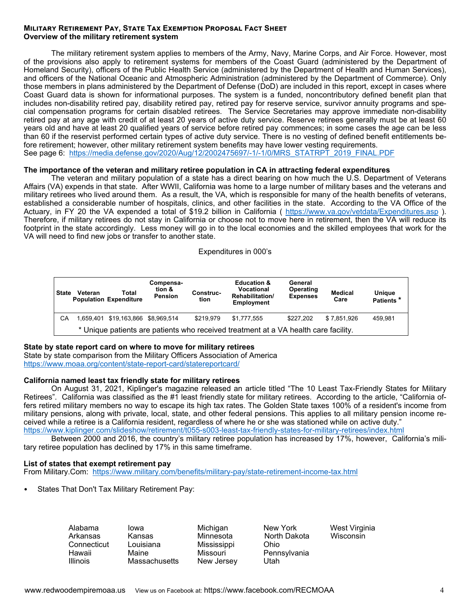#### **MILITARY RETIREMENT PAY, STATE TAX EXEMPTION PROPOSAL FACT SHEET Overview of the military retirement system**

 The military retirement system applies to members of the Army, Navy, Marine Corps, and Air Force. However, most of the provisions also apply to retirement systems for members of the Coast Guard (administered by the Department of Homeland Security), officers of the Public Health Service (administered by the Department of Health and Human Services), and officers of the National Oceanic and Atmospheric Administration (administered by the Department of Commerce). Only those members in plans administered by the Department of Defense (DoD) are included in this report, except in cases where Coast Guard data is shown for informational purposes. The system is a funded, noncontributory defined benefit plan that includes non-disability retired pay, disability retired pay, retired pay for reserve service, survivor annuity programs and special compensation programs for certain disabled retirees. The Service Secretaries may approve immediate non-disability retired pay at any age with credit of at least 20 years of active duty service. Reserve retirees generally must be at least 60 years old and have at least 20 qualified years of service before retired pay commences; in some cases the age can be less than 60 if the reservist performed certain types of active duty service. There is no vesting of defined benefit entitlements before retirement; however, other military retirement system benefits may have lower vesting requirements. See page 6: https://media.defense.gov/2020/Aug/12/2002475697/-1/-1/0/MRS\_STATRPT\_2019\_FINAL.PDF

#### **The importance of the veteran and military retiree population in CA in attracting federal expenditures**

 The veteran and military population of a state has a direct bearing on how much the U.S. Department of Veterans Affairs (VA) expends in that state. After WWII, California was home to a large number of military bases and the veterans and military retirees who lived around them. As a result, the VA, which is responsible for many of the health benefits of veterans, established a considerable number of hospitals, clinics, and other facilities in the state. According to the VA Office of the Actuary, in FY 20 the VA expended a total of \$19.2 billion in California ( https://www.va.gov/vetdata/Expenditures.asp ). Therefore, if military retirees do not stay in California or choose not to move here in retirement, then the VA will reduce its footprint in the state accordingly. Less money will go in to the local economies and the skilled employees that work for the VA will need to find new jobs or transfer to another state.

#### Expenditures in 000's

| <b>State</b>                                                                        | Veteran | Total<br><b>Population Expenditure</b> | Compensa-<br>tion &<br><b>Pension</b> | Construc-<br>tion | <b>Education &amp;</b><br>Vocational<br>Rehabilitation/<br><b>Employment</b> | General<br>Operating<br><b>Expenses</b> | <b>Medical</b><br>Care | Unique<br>Patients <sup>*</sup> |
|-------------------------------------------------------------------------------------|---------|----------------------------------------|---------------------------------------|-------------------|------------------------------------------------------------------------------|-----------------------------------------|------------------------|---------------------------------|
| СA                                                                                  |         | 1,659,401 \$19,163,866 \$8,969,514     |                                       | \$219.979         | \$1.777.555                                                                  | \$227.202                               | \$7.851.926            | 459.981                         |
| * Unique patients are patients who received treatment at a VA health care facility. |         |                                        |                                       |                   |                                                                              |                                         |                        |                                 |

#### **State by state report card on where to move for military retirees**

State by state comparison from the Military Officers Association of America https://www.moaa.org/content/state-report-card/statereportcard/

#### **California named least tax friendly state for military retirees**

 On August 31, 2021, Kiplinger's magazine released an article titled "The 10 Least Tax-Friendly States for Military Retirees". California was classified as the #1 least friendly state for military retirees. According to the article, "California offers retired military members no way to escape its high tax rates. The Golden State taxes 100% of a resident's income from military pensions, along with private, local, state, and other federal pensions. This applies to all military pension income received while a retiree is a California resident, regardless of where he or she was stationed while on active duty." https://www.kiplinger.com/slideshow/retirement/t055-s003-least-tax-friendly-states-for-military-retirees/index.html

Between 2000 and 2016, the country's military retiree population has increased by 17%, however, California's military retiree population has declined by 17% in this same timeframe.

#### **List of states that exempt retirement pay**

From Military.Com: https://www.military.com/benefits/military-pay/state-retirement-income-tax.html

States That Don't Tax Military Retirement Pay:

| Alabama     | lowa                 | Michigan    | New York     | West Virginia |
|-------------|----------------------|-------------|--------------|---------------|
| Arkansas    | Kansas               | Minnesota   | North Dakota | Wisconsin     |
| Connecticut | Louisiana            | Mississippi | Ohio         |               |
| Hawaii      | Maine                | Missouri    | Pennsylvania |               |
| Illinois    | <b>Massachusetts</b> | New Jersey  | Utah         |               |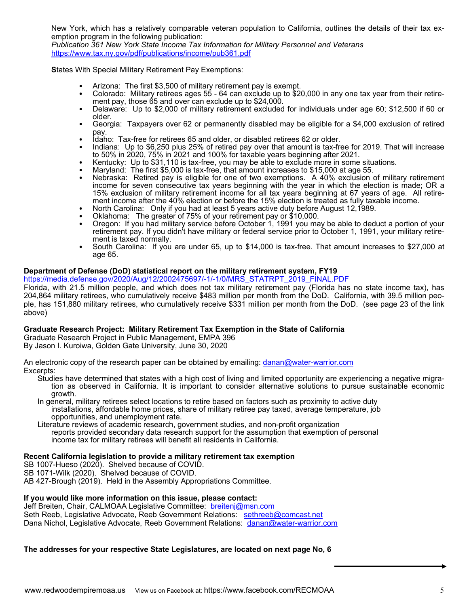New York, which has a relatively comparable veteran population to California, outlines the details of their tax exemption program in the following publication:

*Publication 361 New York State Income Tax Information for Military Personnel and Veterans*  https://www.tax.ny.gov/pdf/publications/income/pub361.pdf

**S**tates With Special Military Retirement Pay Exemptions:

- Arizona: The first \$3,500 of military retirement pay is exempt.
- Colorado: Military retirees ages 55 64 can exclude up to \$20,000 in any one tax year from their retirement pay, those 65 and over can exclude up to \$24,000.
- Delaware: Up to \$2,000 of military retirement excluded for individuals under age 60; \$12,500 if 60 or older.
- Georgia: Taxpayers over 62 or permanently disabled may be eligible for a \$4,000 exclusion of retired
- pay.<br>Idaho: Tax-free for retirees 65 and older, or disabled retirees 62 or older.
- Indiana: Up to \$6,250 plus 25% of retired pay over that amount is tax-free for 2019. That will increase to 50% in 2020, 75% in 2021 and 100% for taxable years beginning after 2021.
- Kentucky: Up to \$31,110 is tax-free, you may be able to exclude more in some situations.<br>Maryland: The first \$5,000 is tax-free, that amount increases to \$15,000 at age 55.
- 
- Nebraska: Retired pay is eligible for one of two exemptions. A 40% exclusion of military retirement income for seven consecutive tax years beginning with the year in which the election is made; OR a 15% exclusion of military retirement income for all tax years beginning at 67 years of age. All retirement income after the 40% election or before the 15% election is treated as fully taxable income.
- North Carolina: Only if you had at least 5 years active duty before August 12,1989.<br>Oklahoma: The greater of 75% of your retirement pay or \$10,000.
- 
- Oregon: If you had military service before October 1, 1991 you may be able to deduct a portion of your retirement pay. If you didn't have military or federal service prior to October 1, 1991, your military retirement is taxed normally.
- South Carolina: If you are under 65, up to \$14,000 is tax-free. That amount increases to \$27,000 at age 65.

#### **Department of Defense (DoD) statistical report on the military retirement system, FY19**

https://media.defense.gov/2020/Aug/12/2002475697/-1/-1/0/MRS\_STATRPT\_2019\_FINAL.PDF

Florida, with 21.5 million people, and which does not tax military retirement pay (Florida has no state income tax), has 204,864 military retirees, who cumulatively receive \$483 million per month from the DoD. California, with 39.5 million people, has 151,880 military retirees, who cumulatively receive \$331 million per month from the DoD. (see page 23 of the link above)

#### **Graduate Research Project: Military Retirement Tax Exemption in the State of California**

Graduate Research Project in Public Management, EMPA 396 By Jason I. Kuroiwa, Golden Gate University, June 30, 2020

An electronic copy of the research paper can be obtained by emailing: danan@water-warrior.com Excerpts:

- Studies have determined that states with a high cost of living and limited opportunity are experiencing a negative migration as observed in California. It is important to consider alternative solutions to pursue sustainable economic growth.
- In general, military retirees select locations to retire based on factors such as proximity to active duty installations, affordable home prices, share of military retiree pay taxed, average temperature, job opportunities, and unemployment rate.
- Literature reviews of academic research, government studies, and non-profit organization reports provided secondary data research support for the assumption that exemption of personal income tax for military retirees will benefit all residents in California.

#### **Recent California legislation to provide a military retirement tax exemption**

SB 1007-Hueso (2020). Shelved because of COVID.

SB 1071-Wilk (2020). Shelved because of COVID.

AB 427-Brough (2019). Held in the Assembly Appropriations Committee.

#### **If you would like more information on this issue, please contact:**

Jeff Breiten, Chair, CALMOAA Legislative Committee: breitenj@msn.com Seth Reeb, Legislative Advocate, Reeb Government Relations: sethreeb@comcast.net Dana Nichol, Legislative Advocate, Reeb Government Relations: danan@water-warrior.com

#### **The addresses for your respective State Legislatures, are located on next page No, 6**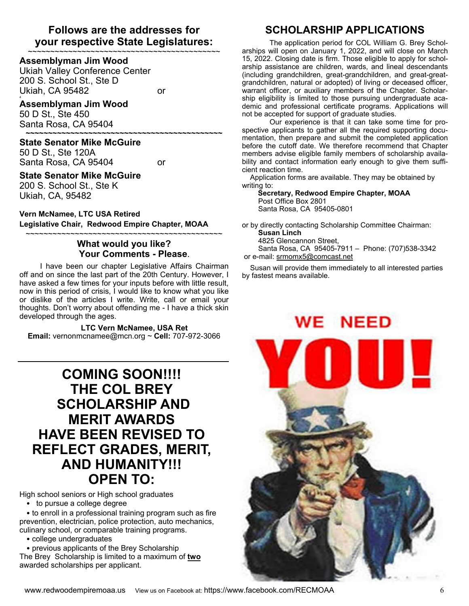### **Follows are the addresses for your respective State Legislatures:**

~~~~~~~~~~~~~~~~~~~~~~~~~~~~~~~~~~~~~~~~~~~

#### **Assemblyman Jim Wood**

Ukiah Valley Conference Center 200 S. School St., Ste D Ukiah, CA 95482 or 4

#### **Assemblyman Jim Wood**

50 D St., Ste 450 Santa Rosa, CA 95404 **~~~~~~~~~~~~~~~~~~~~~~~~~~~~~~~~~~~~~~~~~~~~** 

#### **State Senator Mike McGuire**

50 D St., Ste 120A Santa Rosa, CA 95404 or

#### **State Senator Mike McGuire**

200 S. School St., Ste K Ukiah, CA, 95482

### **Vern McNamee, LTC USA Retired**

**Legislative Chair, Redwood Empire Chapter, MOAA**

#### ~~~~~~~~~~~~~~~~~~~~~~~~~~~~~~~~~~~~~~~~~~~~ **What would you like? Your Comments - Please**.

I have been our chapter Legislative Affairs Chairman off and on since the last part of the 20th Century. However, I have asked a few times for your inputs before with little result, now in this period of crisis, I would like to know what you like or dislike of the articles I write. Write, call or email your thoughts. Don't worry about offending me - I have a thick skin developed through the ages.

#### **LTC Vern McNamee, USA Ret**

**Email:** vernonmcnamee@mcn.org ~ **Cell:** 707-972-3066

## **COMING SOON!!!! THE COL BREY SCHOLARSHIP AND MERIT AWARDS HAVE BEEN REVISED TO REFLECT GRADES, MERIT, AND HUMANITY!!! OPEN TO:**

High school seniors or High school graduates

• to pursue a college degree

• to enroll in a professional training program such as fire prevention, electrician, police protection, auto mechanics, culinary school, or comparable training programs.

• college undergraduates

• previous applicants of the Brey Scholarship The Brey Scholarship is limited to a maximum of **two** awarded scholarships per applicant.

### **SCHOLARSHIP APPLICATIONS**

 The application period for COL William G. Brey Scholarships will open on January 1, 2022, and will close on March 15, 2022. Closing date is firm. Those eligible to apply for scholarship assistance are children, wards, and lineal descendants (including grandchildren, great-grandchildren, and great-greatgrandchildren, natural or adopted) of living or deceased officer, warrant officer, or auxiliary members of the Chapter. Scholarship eligibility is limited to those pursuing undergraduate academic and professional certificate programs. Applications will not be accepted for support of graduate studies.

Our experience is that it can take some time for prospective applicants to gather all the required supporting documentation, then prepare and submit the completed application before the cutoff date. We therefore recommend that Chapter members advise eligible family members of scholarship availability and contact information early enough to give them sufficient reaction time.

 Application forms are available. They may be obtained by writing to:

 **Secretary, Redwood Empire Chapter, MOAA** Post Office Box 2801 Santa Rosa, CA 95405-0801

or by directly contacting Scholarship Committee Chairman: **Susan Linch** 4825 Glencannon Street, Santa Rosa, CA 95405-7911 – Phone: (707)538-3342 or e-mail: srmomx5@comcast.net

 Susan will provide them immediately to all interested parties by fastest means available.

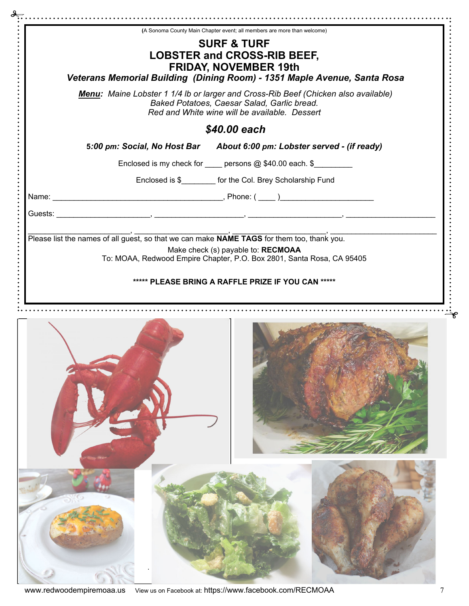|                                                                                            |  | (A Sonoma County Main Chapter event; all members are more than welcome)                      |  |
|--------------------------------------------------------------------------------------------|--|----------------------------------------------------------------------------------------------|--|
|                                                                                            |  | <b>SURF &amp; TURF</b>                                                                       |  |
|                                                                                            |  | <b>LOBSTER and CROSS-RIB BEEF,</b>                                                           |  |
|                                                                                            |  | <b>FRIDAY, NOVEMBER 19th</b>                                                                 |  |
|                                                                                            |  | Veterans Memorial Building (Dining Room) - 1351 Maple Avenue, Santa Rosa                     |  |
|                                                                                            |  | Menu: Maine Lobster 1 1/4 lb or larger and Cross-Rib Beef (Chicken also available)           |  |
|                                                                                            |  | Baked Potatoes, Caesar Salad, Garlic bread.<br>Red and White wine will be available. Dessert |  |
|                                                                                            |  | \$40.00 each                                                                                 |  |
|                                                                                            |  | 5:00 pm: Social, No Host Bar About 6:00 pm: Lobster served - (if ready)                      |  |
|                                                                                            |  | Enclosed is my check for _____ persons @ \$40.00 each. \$_________                           |  |
|                                                                                            |  | Enclosed is \$ for the Col. Brey Scholarship Fund                                            |  |
|                                                                                            |  |                                                                                              |  |
|                                                                                            |  |                                                                                              |  |
|                                                                                            |  |                                                                                              |  |
| Please list the names of all guest, so that we can make NAME TAGS for them too, thank you. |  |                                                                                              |  |
|                                                                                            |  |                                                                                              |  |
|                                                                                            |  | Make check (s) payable to: RECMOAA                                                           |  |
|                                                                                            |  | To: MOAA, Redwood Empire Chapter, P.O. Box 2801, Santa Rosa, CA 95405                        |  |
|                                                                                            |  |                                                                                              |  |
|                                                                                            |  |                                                                                              |  |
|                                                                                            |  | ***** PLEASE BRING A RAFFLE PRIZE IF YOU CAN *****                                           |  |
|                                                                                            |  |                                                                                              |  |
|                                                                                            |  |                                                                                              |  |
|                                                                                            |  |                                                                                              |  |
|                                                                                            |  |                                                                                              |  |
|                                                                                            |  |                                                                                              |  |
|                                                                                            |  |                                                                                              |  |
|                                                                                            |  |                                                                                              |  |
|                                                                                            |  |                                                                                              |  |
|                                                                                            |  |                                                                                              |  |
|                                                                                            |  |                                                                                              |  |
|                                                                                            |  |                                                                                              |  |
|                                                                                            |  |                                                                                              |  |
|                                                                                            |  |                                                                                              |  |
|                                                                                            |  |                                                                                              |  |
|                                                                                            |  |                                                                                              |  |
|                                                                                            |  |                                                                                              |  |
|                                                                                            |  |                                                                                              |  |
|                                                                                            |  |                                                                                              |  |
|                                                                                            |  |                                                                                              |  |
|                                                                                            |  |                                                                                              |  |
|                                                                                            |  |                                                                                              |  |
|                                                                                            |  |                                                                                              |  |
|                                                                                            |  |                                                                                              |  |
|                                                                                            |  |                                                                                              |  |
|                                                                                            |  |                                                                                              |  |
|                                                                                            |  |                                                                                              |  |
|                                                                                            |  |                                                                                              |  |
|                                                                                            |  |                                                                                              |  |
|                                                                                            |  |                                                                                              |  |
|                                                                                            |  |                                                                                              |  |
|                                                                                            |  |                                                                                              |  |

www.redwoodempiremoaa.us View us on Facebook at: https://www.facebook.com/RECMOAA